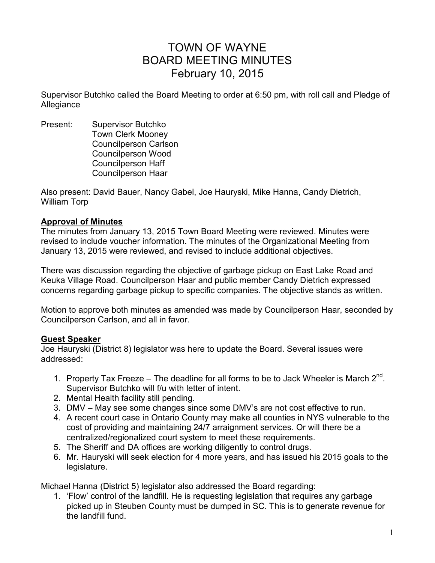# TOWN OF WAYNE BOARD MEETING MINUTES February 10, 2015

Supervisor Butchko called the Board Meeting to order at 6:50 pm, with roll call and Pledge of Allegiance

Present: Supervisor Butchko Town Clerk Mooney Councilperson Carlson Councilperson Wood Councilperson Haff Councilperson Haar

Also present: David Bauer, Nancy Gabel, Joe Hauryski, Mike Hanna, Candy Dietrich, William Torp

#### **Approval of Minutes**

The minutes from January 13, 2015 Town Board Meeting were reviewed. Minutes were revised to include voucher information. The minutes of the Organizational Meeting from January 13, 2015 were reviewed, and revised to include additional objectives.

There was discussion regarding the objective of garbage pickup on East Lake Road and Keuka Village Road. Councilperson Haar and public member Candy Dietrich expressed concerns regarding garbage pickup to specific companies. The objective stands as written.

Motion to approve both minutes as amended was made by Councilperson Haar, seconded by Councilperson Carlson, and all in favor.

# **Guest Speaker**

Joe Hauryski (District 8) legislator was here to update the Board. Several issues were addressed:

- 1. Property Tax Freeze The deadline for all forms to be to Jack Wheeler is March  $2^{nd}$ . Supervisor Butchko will f/u with letter of intent.
- 2. Mental Health facility still pending.
- 3. DMV May see some changes since some DMV's are not cost effective to run.
- 4. A recent court case in Ontario County may make all counties in NYS vulnerable to the cost of providing and maintaining 24/7 arraignment services. Or will there be a centralized/regionalized court system to meet these requirements.
- 5. The Sheriff and DA offices are working diligently to control drugs.
- 6. Mr. Hauryski will seek election for 4 more years, and has issued his 2015 goals to the legislature.

Michael Hanna (District 5) legislator also addressed the Board regarding:

1. 'Flow' control of the landfill. He is requesting legislation that requires any garbage picked up in Steuben County must be dumped in SC. This is to generate revenue for the landfill fund.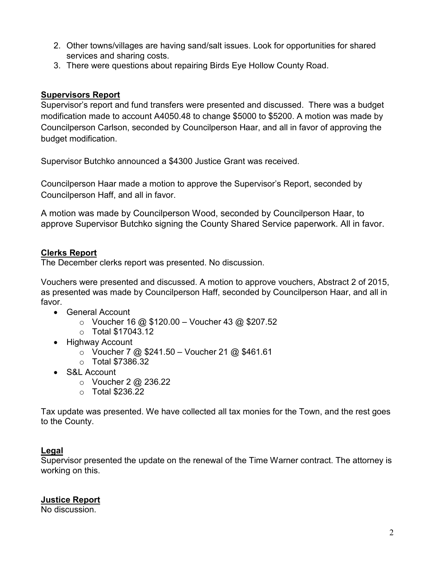- 2. Other towns/villages are having sand/salt issues. Look for opportunities for shared services and sharing costs.
- 3. There were questions about repairing Birds Eye Hollow County Road.

## **Supervisors Report**

Supervisor's report and fund transfers were presented and discussed. There was a budget modification made to account A4050.48 to change \$5000 to \$5200. A motion was made by Councilperson Carlson, seconded by Councilperson Haar, and all in favor of approving the budget modification.

Supervisor Butchko announced a \$4300 Justice Grant was received.

Councilperson Haar made a motion to approve the Supervisor's Report, seconded by Councilperson Haff, and all in favor.

A motion was made by Councilperson Wood, seconded by Councilperson Haar, to approve Supervisor Butchko signing the County Shared Service paperwork. All in favor.

# **Clerks Report**

The December clerks report was presented. No discussion.

Vouchers were presented and discussed. A motion to approve vouchers, Abstract 2 of 2015, as presented was made by Councilperson Haff, seconded by Councilperson Haar, and all in favor.

- General Account
	- $\circ$  Voucher 16 @ \$120.00 Voucher 43 @ \$207.52
	- o Total \$17043.12
- Highway Account
	- $\circ$  Voucher 7 @ \$241.50 Voucher 21 @ \$461.61
	- o Total \$7386.32
- S&L Account
	- $\circ$  Voucher 2 @ 236.22
	- o Total \$236.22

Tax update was presented. We have collected all tax monies for the Town, and the rest goes to the County.

# **Legal**

Supervisor presented the update on the renewal of the Time Warner contract. The attorney is working on this.

# **Justice Report**

No discussion.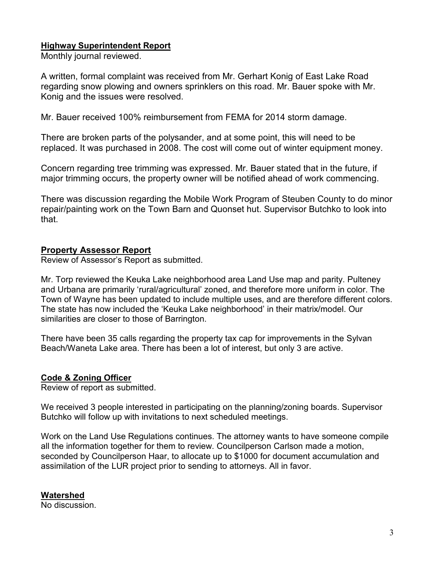## **Highway Superintendent Report**

Monthly journal reviewed.

A written, formal complaint was received from Mr. Gerhart Konig of East Lake Road regarding snow plowing and owners sprinklers on this road. Mr. Bauer spoke with Mr. Konig and the issues were resolved.

Mr. Bauer received 100% reimbursement from FEMA for 2014 storm damage.

There are broken parts of the polysander, and at some point, this will need to be replaced. It was purchased in 2008. The cost will come out of winter equipment money.

Concern regarding tree trimming was expressed. Mr. Bauer stated that in the future, if major trimming occurs, the property owner will be notified ahead of work commencing.

There was discussion regarding the Mobile Work Program of Steuben County to do minor repair/painting work on the Town Barn and Quonset hut. Supervisor Butchko to look into that.

#### **Property Assessor Report**

Review of Assessor's Report as submitted.

Mr. Torp reviewed the Keuka Lake neighborhood area Land Use map and parity. Pulteney and Urbana are primarily 'rural/agricultural' zoned, and therefore more uniform in color. The Town of Wayne has been updated to include multiple uses, and are therefore different colors. The state has now included the 'Keuka Lake neighborhood' in their matrix/model. Our similarities are closer to those of Barrington.

There have been 35 calls regarding the property tax cap for improvements in the Sylvan Beach/Waneta Lake area. There has been a lot of interest, but only 3 are active.

# **Code & Zoning Officer**

Review of report as submitted.

We received 3 people interested in participating on the planning/zoning boards. Supervisor Butchko will follow up with invitations to next scheduled meetings.

Work on the Land Use Regulations continues. The attorney wants to have someone compile all the information together for them to review. Councilperson Carlson made a motion, seconded by Councilperson Haar, to allocate up to \$1000 for document accumulation and assimilation of the LUR project prior to sending to attorneys. All in favor.

#### **Watershed**

No discussion.